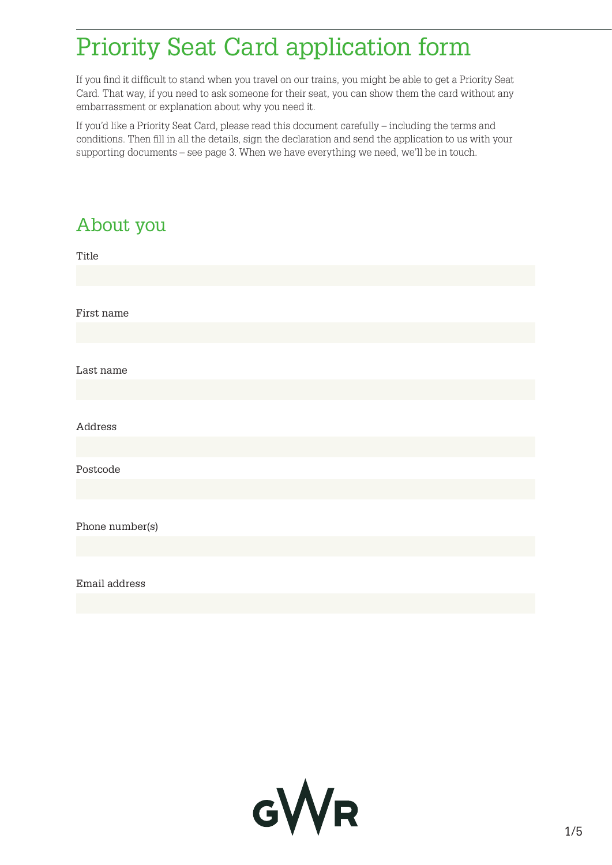## Priority Seat Card application form

If you find it difficult to stand when you travel on our trains, you might be able to get a Priority Seat Card. That way, if you need to ask someone for their seat, you can show them the card without any embarrassment or explanation about why you need it.

If you'd like a Priority Seat Card, please read this document carefully – including the terms and conditions. Then fill in all the details, sign the declaration and send the application to us with your supporting documents – see page 3. When we have everything we need, we'll be in touch.

# About you Title First name Last name Address Postcode Phone number(s) Email address

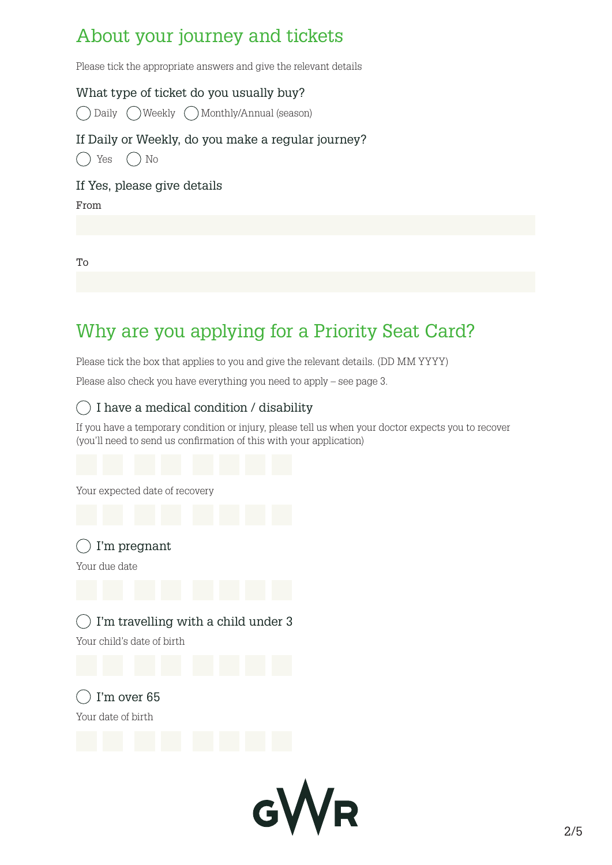## About your journey and tickets

Please tick the appropriate answers and give the relevant details

What type of ticket do you usually buy?

◯ Daily ◯ Weekly ◯ Monthly/Annual (season)

#### If Daily or Weekly, do you make a regular journey?

 $() Yes () No$ 

If Yes, please give details

From

To

## Why are you applying for a Priority Seat Card?

Please tick the box that applies to you and give the relevant details. (DD MM YYYY)

Please also check you have everything you need to apply – see page 3.

#### $\bigcirc$  I have a medical condition / disability

If you have a temporary condition or injury, please tell us when your doctor expects you to recover (you'll need to send us confirmation of this with your application)

Your expected date of recovery

I'm pregnant

Your due date

I'm travelling with a child under 3  $($ 

Your child's date of birth

 $\bigcap$  I'm over 65 Your date of birth

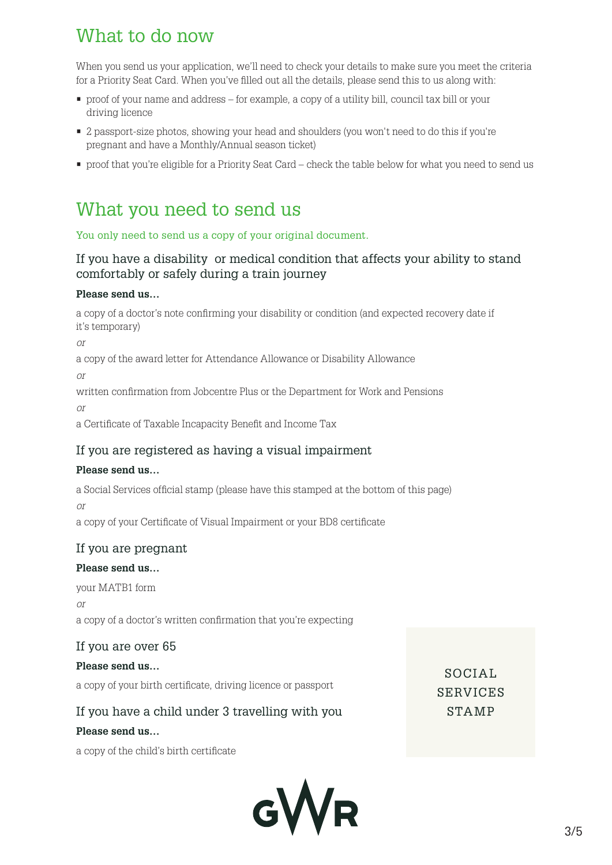## What to do now

When you send us your application, we'll need to check your details to make sure you meet the criteria for a Priority Seat Card. When you've filled out all the details, please send this to us along with:

- proof of your name and address for example, a copy of a utility bill, council tax bill or your driving licence
- 2 passport-size photos, showing your head and shoulders (you won't need to do this if you're pregnant and have a Monthly/Annual season ticket)
- proof that you're eligible for a Priority Seat Card check the table below for what you need to send us

### What you need to send us

You only need to send us a copy of your original document.

#### If you have a disability or medical condition that affects your ability to stand comfortably or safely during a train journey

#### **Please send us…**

a copy of a doctor's note confirming your disability or condition (and expected recovery date if it's temporary)

*or*

a copy of the award letter for Attendance Allowance or Disability Allowance

*or*

written confirmation from Jobcentre Plus or the Department for Work and Pensions *or*

a Certificate of Taxable Incapacity Benefit and Income Tax

#### If you are registered as having a visual impairment

#### **Please send us…**

a Social Services official stamp (please have this stamped at the bottom of this page)

*or*

a copy of your Certificate of Visual Impairment or your BD8 certificate

#### If you are pregnant

#### **Please send us…**

your MATB1 form *or* a copy of a doctor's written confirmation that you're expecting

#### If you are over 65

#### **Please send us…**

a copy of your birth certificate, driving licence or passport

#### If you have a child under 3 travelling with you

#### **Please send us…**

a copy of the child's birth certificate



SOCIAL. SERVICES STAMP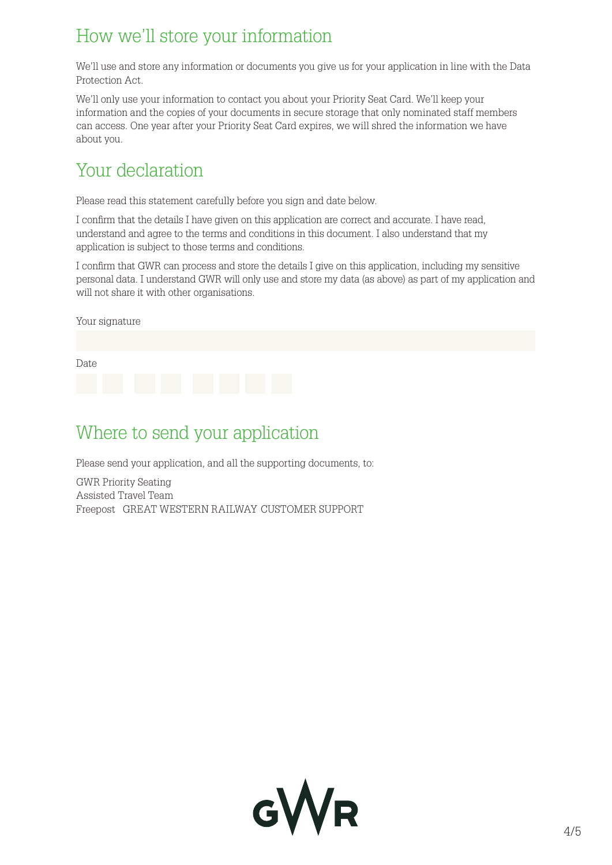## How we'll store your information

We'll use and store any information or documents you give us for your application in line with the Data Protection Act.

We'll only use your information to contact you about your Priority Seat Card. We'll keep your information and the copies of your documents in secure storage that only nominated staff members can access. One year after your Priority Seat Card expires, we will shred the information we have about you.

## Your declaration

Please read this statement carefully before you sign and date below.

I confirm that the details I have given on this application are correct and accurate. I have read, understand and agree to the terms and conditions in this document. I also understand that my application is subject to those terms and conditions.

I confirm that GWR can process and store the details I give on this application, including my sensitive personal data. I understand GWR will only use and store my data (as above) as part of my application and will not share it with other organisations.



## Where to send your application

Please send your application, and all the supporting documents, to:

GWR Priority Seating Assisted Travel Team Freepost  $\,$  GREAT WESTERN RAILWAY CUSTOMER SUPPORT